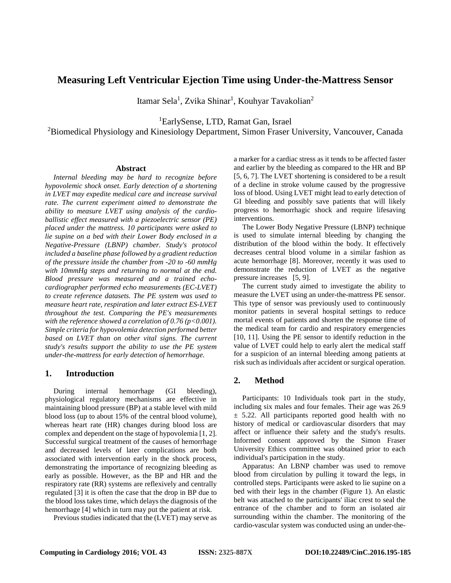# **Measuring Left Ventricular Ejection Time using Under-the-Mattress Sensor**

Itamar Sela<sup>1</sup>, Zvika Shinar<sup>1</sup>, Kouhyar Tavakolian<sup>2</sup>

1 EarlySense, LTD, Ramat Gan, Israel

<sup>2</sup>Biomedical Physiology and Kinesiology Department, Simon Fraser University, Vancouver, Canada

#### **Abstract**

*Internal bleeding may be hard to recognize before hypovolemic shock onset. Early detection of a shortening in LVET may expedite medical care and increase survival rate. The current experiment aimed to demonstrate the ability to measure LVET using analysis of the cardioballistic effect measured with a piezoelectric sensor (PE) placed under the mattress. 10 participants were asked to lie supine on a bed with their Lower Body enclosed in a Negative-Pressure (LBNP) chamber. Study's protocol included a baseline phase followed by a gradient reduction of the pressure inside the chamber from -20 to -60 mmHg with 10mmHg steps and returning to normal at the end. Blood pressure was measured and a trained echocardiographer performed echo measurements (EC-LVET) to create reference datasets. The PE system was used to measure heart rate, respiration and later extract ES-LVET throughout the test. Comparing the PE's measurements with the reference showed a correlation of 0.76 (p<0.001). Simple criteria for hypovolemia detection performed better based on LVET than on other vital signs. The current study's results support the ability to use the PE system under-the-mattress for early detection of hemorrhage*.

## **1. Introduction**

During internal hemorrhage (GI bleeding), physiological regulatory mechanisms are effective in maintaining blood pressure (BP) at a stable level with mild blood loss (up to about 15% of the central blood volume), whereas heart rate (HR) changes during blood loss are complex and dependent on the stage of hypovolemia [1, 2]. Successful surgical treatment of the causes of hemorrhage and decreased levels of later complications are both associated with intervention early in the shock process, demonstrating the importance of recognizing bleeding as early as possible. However, as the BP and HR and the respiratory rate (RR) systems are reflexively and centrally regulated [3] it is often the case that the drop in BP due to the blood loss takes time, which delays the diagnosis of the hemorrhage [4] which in turn may put the patient at risk.

Previous studies indicated that the (LVET) may serve as

a marker for a cardiac stress as it tends to be affected faster and earlier by the bleeding as compared to the HR and BP [5, 6, 7]. The LVET shortening is considered to be a result of a decline in stroke volume caused by the progressive loss of blood. Using LVET might lead to early detection of GI bleeding and possibly save patients that will likely progress to hemorrhagic shock and require lifesaving interventions.

The Lower Body Negative Pressure (LBNP) technique is used to simulate internal bleeding by changing the distribution of the blood within the body. It effectively decreases central blood volume in a similar fashion as acute hemorrhage [8]. Moreover, recently it was used to demonstrate the reduction of LVET as the negative pressure increases [5, 9].

The current study aimed to investigate the ability to measure the LVET using an under-the-mattress PE sensor. This type of sensor was previously used to continuously monitor patients in several hospital settings to reduce mortal events of patients and shorten the response time of the medical team for cardio and respiratory emergencies [10, 11]. Using the PE sensor to identify reduction in the value of LVET could help to early alert the medical staff for a suspicion of an internal bleeding among patients at risk such as individuals after accident or surgical operation.

## **2. Method**

Participants: 10 Individuals took part in the study, including six males and four females. Their age was 26.9  $\pm$  5.22. All participants reported good health with no history of medical or cardiovascular disorders that may affect or influence their safety and the study's results. Informed consent approved by the Simon Fraser University Ethics committee was obtained prior to each individual's participation in the study.

Apparatus: An LBNP chamber was used to remove blood from circulation by pulling it toward the legs, in controlled steps. Participants were asked to lie supine on a bed with their legs in the chamber (Figure 1). An elastic belt was attached to the participants' iliac crest to seal the entrance of the chamber and to form an isolated air surrounding within the chamber. The monitoring of the cardio-vascular system was conducted using an under-the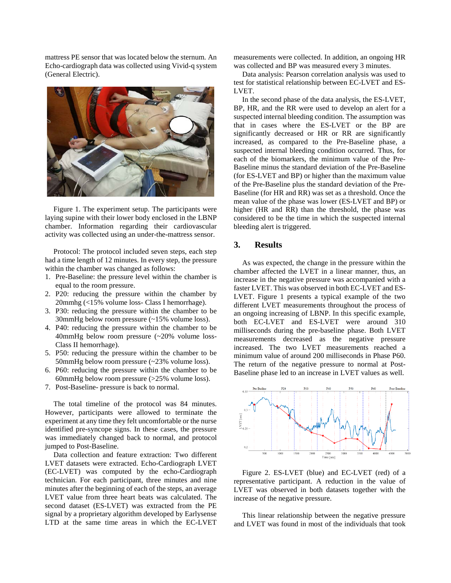mattress PE sensor that was located below the sternum. An Echo-cardiograph data was collected using Vivid-q system (General Electric).



Figure 1. The experiment setup. The participants were laying supine with their lower body enclosed in the LBNP chamber. Information regarding their cardiovascular activity was collected using an under-the-mattress sensor.

Protocol: The protocol included seven steps, each step had a time length of 12 minutes. In every step, the pressure within the chamber was changed as follows:

- 1. Pre-Baseline: the pressure level within the chamber is equal to the room pressure.
- 2. P20: reducing the pressure within the chamber by 20mmhg (<15% volume loss- Class I hemorrhage).
- 3. P30: reducing the pressure within the chamber to be 30mmHg below room pressure (~15% volume loss).
- 4. P40: reducing the pressure within the chamber to be 40mmHg below room pressure (~20% volume loss-Class II hemorrhage).
- 5. P50: reducing the pressure within the chamber to be 50mmHg below room pressure (~23% volume loss).
- 6. P60: reducing the pressure within the chamber to be 60mmHg below room pressure (>25% volume loss).
- 7. Post-Baseline- pressure is back to normal.

The total timeline of the protocol was 84 minutes. However, participants were allowed to terminate the experiment at any time they felt uncomfortable or the nurse identified pre-syncope signs. In these cases, the pressure was immediately changed back to normal, and protocol jumped to Post-Baseline.

Data collection and feature extraction: Two different LVET datasets were extracted. Echo-Cardiograph LVET (EC-LVET) was computed by the echo-Cardiograph technician. For each participant, three minutes and nine minutes after the beginning of each of the steps, an average LVET value from three heart beats was calculated. The second dataset (ES-LVET) was extracted from the PE signal by a proprietary algorithm developed by Earlysense LTD at the same time areas in which the EC-LVET

measurements were collected. In addition, an ongoing HR was collected and BP was measured every 3 minutes.

Data analysis: Pearson correlation analysis was used to test for statistical relationship between EC-LVET and ES-LVET.

In the second phase of the data analysis, the ES-LVET, BP, HR, and the RR were used to develop an alert for a suspected internal bleeding condition. The assumption was that in cases where the ES-LVET or the BP are significantly decreased or HR or RR are significantly increased, as compared to the Pre-Baseline phase, a suspected internal bleeding condition occurred. Thus, for each of the biomarkers, the minimum value of the Pre-Baseline minus the standard deviation of the Pre-Baseline (for ES-LVET and BP) or higher than the maximum value of the Pre-Baseline plus the standard deviation of the Pre-Baseline (for HR and RR) was set as a threshold. Once the mean value of the phase was lower (ES-LVET and BP) or higher (HR and RR) than the threshold, the phase was considered to be the time in which the suspected internal bleeding alert is triggered.

#### **3. Results**

As was expected, the change in the pressure within the chamber affected the LVET in a linear manner, thus, an increase in the negative pressure was accompanied with a faster LVET. This was observed in both EC-LVET and ES-LVET. Figure 1 presents a typical example of the two different LVET measurements throughout the process of an ongoing increasing of LBNP. In this specific example, both EC-LVET and ES-LVET were around 310 milliseconds during the pre-baseline phase. Both LVET measurements decreased as the negative pressure increased. The two LVET measurements reached a minimum value of around 200 milliseconds in Phase P60. The return of the negative pressure to normal at Post-Baseline phase led to an increase in LVET values as well.



Figure 2. ES-LVET (blue) and EC-LVET (red) of a representative participant. A reduction in the value of LVET was observed in both datasets together with the increase of the negative pressure.

This linear relationship between the negative pressure and LVET was found in most of the individuals that took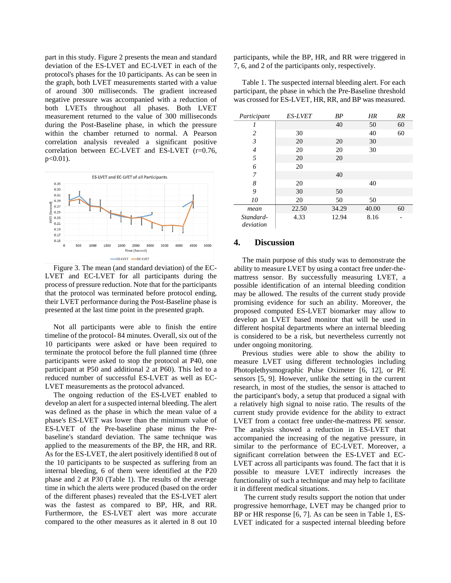part in this study. Figure 2 presents the mean and standard deviation of the ES-LVET and EC-LVET in each of the protocol's phases for the 10 participants. As can be seen in the graph, both LVET measurements started with a value of around 300 milliseconds. The gradient increased negative pressure was accompanied with a reduction of both LVETs throughout all phases. Both LVET measurement returned to the value of 300 milliseconds during the Post-Baseline phase, in which the pressure within the chamber returned to normal. A Pearson correlation analysis revealed a significant positive correlation between EC-LVET and ES-LVET (r=0.76,  $p < 0.01$ ).



Figure 3. The mean (and standard deviation) of the EC-LVET and EC-LVET for all participants during the process of pressure reduction. Note that for the participants that the protocol was terminated before protocol ending, their LVET performance during the Post-Baseline phase is presented at the last time point in the presented graph.

Not all participants were able to finish the entire timeline of the protocol- 84 minutes. Overall, six out of the 10 participants were asked or have been required to terminate the protocol before the full planned time (three participants were asked to stop the protocol at P40, one participant at P50 and additional 2 at P60). This led to a reduced number of successful ES-LVET as well as EC-LVET measurements as the protocol advanced.

The ongoing reduction of the ES-LVET enabled to develop an alert for a suspected internal bleeding. The alert was defined as the phase in which the mean value of a phase's ES-LVET was lower than the minimum value of ES-LVET of the Pre-baseline phase minus the Prebaseline's standard deviation. The same technique was applied to the measurements of the BP, the HR, and RR. As for the ES-LVET, the alert positively identified 8 out of the 10 participants to be suspected as suffering from an internal bleeding, 6 of them were identified at the P20 phase and 2 at P30 (Table 1). The results of the average time in which the alerts were produced (based on the order of the different phases) revealed that the ES-LVET alert was the fastest as compared to BP, HR, and RR. Furthermore, the ES-LVET alert was more accurate compared to the other measures as it alerted in 8 out 10

participants, while the BP, HR, and RR were triggered in 7, 6, and 2 of the participants only, respectively.

Table 1. The suspected internal bleeding alert. For each participant, the phase in which the Pre-Baseline threshold was crossed for ES-LVET, HR, RR, and BP was measured.

| Participant            | <b>ES-LVET</b> | BP    | HR    | <b>RR</b> |
|------------------------|----------------|-------|-------|-----------|
| 1                      |                | 40    | 50    | 60        |
| 2                      | 30             |       | 40    | 60        |
| 3                      | 20             | 20    | 30    |           |
| $\overline{4}$         | 20             | 20    | 30    |           |
| 5                      | 20             | 20    |       |           |
| 6                      | 20             |       |       |           |
| 7                      |                | 40    |       |           |
| 8                      | 20             |       | 40    |           |
| 9                      | 30             | 50    |       |           |
| 10                     | 20             | 50    | 50    |           |
| mean                   | 22.50          | 34.29 | 40.00 | 60        |
| Standard-<br>deviation | 4.33           | 12.94 | 8.16  |           |

#### **4. Discussion**

The main purpose of this study was to demonstrate the ability to measure LVET by using a contact free under-themattress sensor. By successfully measuring LVET, a possible identification of an internal bleeding condition may be allowed. The results of the current study provide promising evidence for such an ability. Moreover, the proposed computed ES-LVET biomarker may allow to develop an LVET based monitor that will be used in different hospital departments where an internal bleeding is considered to be a risk, but nevertheless currently not under ongoing monitoring.

Previous studies were able to show the ability to measure LVET using different technologies including Photoplethysmographic Pulse Oximeter [6, 12], or PE sensors [5, 9]. However, unlike the setting in the current research, in most of the studies, the sensor is attached to the participant's body, a setup that produced a signal with a relatively high signal to noise ratio. The results of the current study provide evidence for the ability to extract LVET from a contact free under-the-mattress PE sensor. The analysis showed a reduction in ES-LVET that accompanied the increasing of the negative pressure, in similar to the performance of EC-LVET. Moreover, a significant correlation between the ES-LVET and EC-LVET across all participants was found. The fact that it is possible to measure LVET indirectly increases the functionality of such a technique and may help to facilitate it in different medical situations.

The current study results support the notion that under progressive hemorrhage, LVET may be changed prior to BP or HR response [6, 7]. As can be seen in Table 1, ES-LVET indicated for a suspected internal bleeding before